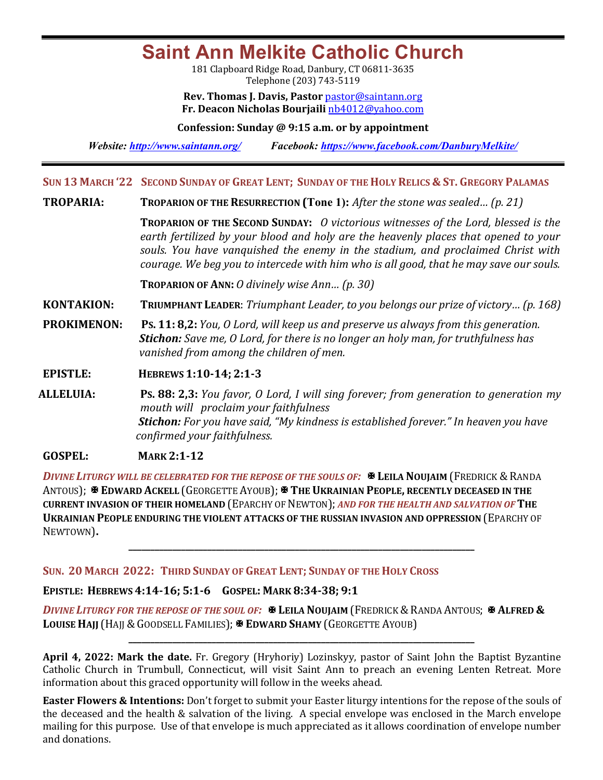**Saint Ann Melkite Catholic Church**

181 Clapboard Ridge Road, Danbury, CT 06811-3635 Telephone (203) 743-5119

**Rev. Thomas J. Davis, Pastor** pastor@saintann.org **Fr. Deacon Nicholas Bourjaili** nb4012@yahoo.com

**Confession: Sunday @ 9:15 a.m. or by appointment**

*Website: http://www.saintann.org/ Facebook: https://www.facebook.com/DanburyMelkite/* 

**SUN 13 MARCH '22 SECOND SUNDAY OF GREAT LENT; SUNDAY OF THE HOLY RELICS & ST. GREGORY PALAMAS**

**TROPARIA: TROPARION OF THE RESURRECTION (Tone 1):** *After the stone was sealed... (p. 21)* 

**TROPARION** OF THE **SECOND SUNDAY:** *O* victorious witnesses of the Lord, blessed is the earth fertilized by your blood and holy are the heavenly places that opened to your souls. You have vanquished the enemy in the stadium, and proclaimed Christ with *courage.* We beg you to intercede with him who is all good, that he may save our souls.

**TROPARION OF ANN:** *O* divinely wise Ann... (p. 30)

**KONTAKION: TRIUMPHANT LEADER:** *Triumphant Leader, to you belongs our prize of victory... (p. 168)* 

**PROKIMENON:** Ps. 11: 8,2: *You, O Lord, will keep us and preserve us always from this generation.* **Stichon:** Save me, O Lord, for there is no longer an holy man, for truthfulness has *vanished from among the children of men.* 

**EPISTLE: HEBREWS 1:10-14; 2:1-3** 

**ALLELUIA: PS. 88: 2,3:** *You favor,* O Lord, I will sing forever; from generation to generation my *mouth will proclaim your faithfulness* **Stichon:** For you have said, "My kindness is established forever." In heaven you have *confirmed your faithfulness.* 

**GOSPEL: MARK 2:1-12** 

**DIVINE LITURGY WILL BE CELEBRATED FOR THE REPOSE OF THE SOULS OF: <b>X** LEILA NOUJAIM (FREDRICK & RANDA ANTOUS); **EX EDWARD ACKELL** (GEORGETTE AYOUB); **EX THE UKRAINIAN PEOPLE, RECENTLY DECEASED IN THE CURRENT INVASION OF THEIR HOMELAND** (EPARCHY OF NEWTON); AND FOR THE HEALTH AND SALVATION OF THE **UKRAINIAN PEOPLE ENDURING THE VIOLENT ATTACKS OF THE RUSSIAN INVASION AND OPPRESSION (EPARCHY OF** NEWTOWN)**.**

**\_\_\_\_\_\_\_\_\_\_\_\_\_\_\_\_\_\_\_\_\_\_\_\_\_\_\_\_\_\_\_\_\_\_\_\_\_\_\_\_\_\_\_\_\_\_\_\_\_\_\_\_\_\_\_\_\_\_\_\_\_\_\_\_\_\_\_\_\_\_\_\_\_\_\_\_\_\_\_**

**SUN. 20 MARCH 2022: THIRD SUNDAY OF GREAT LENT; SUNDAY OF THE HOLY CROSS**

# **EPISTLE: HEBREWS 4:14-16; 5:1-6 GOSPEL: MARK 8:34-38; 9:1**

*DIVINE LITURGY FOR THE REPOSE OF THE SOUL OF:*  $\mathbb{R}$  **LEILA NOUJAIM** (FREDRICK & RANDA ANTOUS;  $\mathbb{R}$  ALFRED & LOUISE HAJJ (HAJJ & GOODSELL FAMILIES); **E EDWARD SHAMY** (GEORGETTE AYOUB)

**April 4, 2022: Mark the date.** Fr. Gregory (Hryhoriy) Lozinskyy, pastor of Saint John the Baptist Byzantine Catholic Church in Trumbull, Connecticut, will visit Saint Ann to preach an evening Lenten Retreat. More information about this graced opportunity will follow in the weeks ahead.

**\_\_\_\_\_\_\_\_\_\_\_\_\_\_\_\_\_\_\_\_\_\_\_\_\_\_\_\_\_\_\_\_\_\_\_\_\_\_\_\_\_\_\_\_\_\_\_\_\_\_\_\_\_\_\_\_\_\_\_\_\_\_\_\_\_\_\_\_\_\_\_\_\_\_\_\_\_\_\_**

**Easter Flowers & Intentions:** Don't forget to submit your Easter liturgy intentions for the repose of the souls of the deceased and the health & salvation of the living. A special envelope was enclosed in the March envelope mailing for this purpose. Use of that envelope is much appreciated as it allows coordination of envelope number and donations.